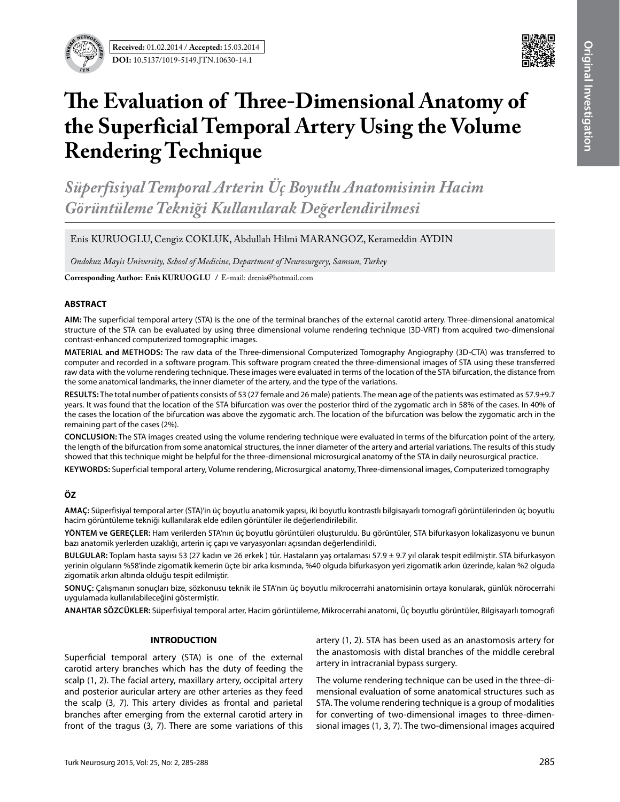**Received:** 01.02.2014 / **Accepted:** 15.03.2014 **DOI:** 10.5137/1019-5149.JTN.10630-14.1



# **The Evaluation of Three-Dimensional Anatomy of the Superficial Temporal Artery Using the Volume Rendering Technique**

*Süperfisiyal Temporal Arterin Üç Boyutlu Anatomisinin Hacim Görüntüleme Tekniği Kullanılarak Değerlendirilmesi*

Enis KURUOGLU, Cengiz COKLUK, Abdullah Hilmi MARANGOZ, Kerameddin AYDIN

*Ondokuz Mayis University, School of Medicine, Department of Neurosurgery, Samsun, Turkey*

**Corresponding Author: Enis KURUOGLU / E-mail: drenis@hotmail.com** 

### **ABSTRACT**

**AIm:** The superficial temporal artery (STA) is the one of the terminal branches of the external carotid artery. Three-dimensional anatomical structure of the STA can be evaluated by using three dimensional volume rendering technique (3D-VRT) from acquired two-dimensional contrast-enhanced computerized tomographic images.

**MaterIal and Methods:** The raw data of the Three-dimensional Computerized Tomography Angiography (3D-CTA) was transferred to computer and recorded in a software program. This software program created the three-dimensional images of STA using these transferred raw data with the volume rendering technique. These images were evaluated in terms of the location of the STA bifurcation, the distance from the some anatomical landmarks, the inner diameter of the artery, and the type of the variations.

**Results:** The total number of patients consists of 53 (27 female and 26 male) patients. The mean age of the patients was estimated as 57.9±9.7 years. It was found that the location of the STA bifurcation was over the posterior third of the zygomatic arch in 58% of the cases. In 40% of the cases the location of the bifurcation was above the zygomatic arch. The location of the bifurcation was below the zygomatic arch in the remaining part of the cases (2%).

**ConclusIon:** The STA images created using the volume rendering technique were evaluated in terms of the bifurcation point of the artery, the length of the bifurcation from some anatomical structures, the inner diameter of the artery and arterial variations. The results of this study showed that this technique might be helpful for the three-dimensional microsurgical anatomy of the STA in daily neurosurgical practice.

**Keywords:** Superficial temporal artery, Volume rendering, Microsurgical anatomy, Three-dimensional images, Computerized tomography

# **ÖZ**

**AMAÇ:** Süperfisiyal temporal arter (STA)'in üç boyutlu anatomik yapısı, iki boyutlu kontrastlı bilgisayarlı tomografi görüntülerinden üç boyutlu hacim görüntüleme tekniği kullanılarak elde edilen görüntüler ile değerlendirilebilir.

**YÖNTEM ve GEREÇLER:** Ham verilerden STA'nın üç boyutlu görüntüleri oluşturuldu. Bu görüntüler, STA bifurkasyon lokalizasyonu ve bunun bazı anatomik yerlerden uzaklığı, arterin iç çapı ve varyasyonları açısından değerlendirildi.

**BULGULAR:** Toplam hasta sayısı 53 (27 kadın ve 26 erkek ) tür. Hastaların yaş ortalaması 57.9 ± 9.7 yıl olarak tespit edilmiştir. STA bifurkasyon yerinin olguların %58'inde zigomatik kemerin üçte bir arka kısmında, %40 olguda bifurkasyon yeri zigomatik arkın üzerinde, kalan %2 olguda zigomatik arkın altında olduğu tespit edilmiştir.

**SONUÇ:** Çalışmanın sonuçları bize, sözkonusu teknik ile STA'nın üç boyutlu mikrocerrahi anatomisinin ortaya konularak, günlük nörocerrahi uygulamada kullanılabileceğini göstermiştir.

**ANAHTAR SÖZCÜKLER:** Süperfisiyal temporal arter, Hacim görüntüleme, Mikrocerrahi anatomi, Üç boyutlu görüntüler, Bilgisayarlı tomografi

#### **INTRODUCTION**

Superficial temporal artery (STA) is one of the external carotid artery branches which has the duty of feeding the scalp (1, 2). The facial artery, maxillary artery, occipital artery and posterior auricular artery are other arteries as they feed the scalp (3, 7). This artery divides as frontal and parietal branches after emerging from the external carotid artery in front of the tragus (3, 7). There are some variations of this

artery (1, 2). STA has been used as an anastomosis artery for the anastomosis with distal branches of the middle cerebral artery in intracranial bypass surgery.

The volume rendering technique can be used in the three-dimensional evaluation of some anatomical structures such as STA. The volume rendering technique is a group of modalities for converting of two-dimensional images to three-dimensional images (1, 3, 7). The two-dimensional images acquired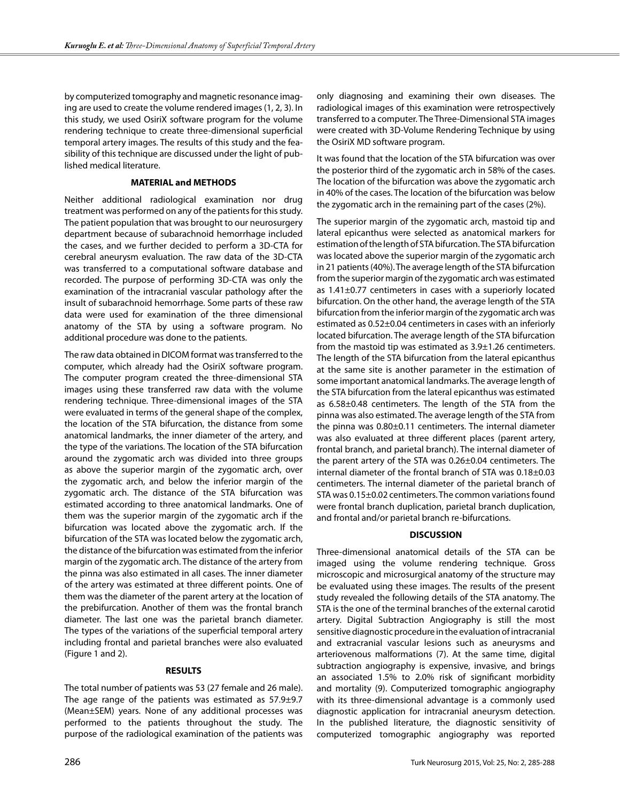by computerized tomography and magnetic resonance imaging are used to create the volume rendered images (1, 2, 3). In this study, we used OsiriX software program for the volume rendering technique to create three-dimensional superficial temporal artery images. The results of this study and the feasibility of this technique are discussed under the light of published medical literature.

# **MATERIAL and METHODS**

Neither additional radiological examination nor drug treatment was performed on any of the patients for this study. The patient population that was brought to our neurosurgery department because of subarachnoid hemorrhage included the cases, and we further decided to perform a 3D-CTA for cerebral aneurysm evaluation. The raw data of the 3D-CTA was transferred to a computational software database and recorded. The purpose of performing 3D-CTA was only the examination of the intracranial vascular pathology after the insult of subarachnoid hemorrhage. Some parts of these raw data were used for examination of the three dimensional anatomy of the STA by using a software program. No additional procedure was done to the patients.

The raw data obtained in DICOM format was transferred to the computer, which already had the OsiriX software program. The computer program created the three-dimensional STA images using these transferred raw data with the volume rendering technique. Three-dimensional images of the STA were evaluated in terms of the general shape of the complex, the location of the STA bifurcation, the distance from some anatomical landmarks, the inner diameter of the artery, and the type of the variations. The location of the STA bifurcation around the zygomatic arch was divided into three groups as above the superior margin of the zygomatic arch, over the zygomatic arch, and below the inferior margin of the zygomatic arch. The distance of the STA bifurcation was estimated according to three anatomical landmarks. One of them was the superior margin of the zygomatic arch if the bifurcation was located above the zygomatic arch. If the bifurcation of the STA was located below the zygomatic arch, the distance of the bifurcation was estimated from the inferior margin of the zygomatic arch. The distance of the artery from the pinna was also estimated in all cases. The inner diameter of the artery was estimated at three different points. One of them was the diameter of the parent artery at the location of the prebifurcation. Another of them was the frontal branch diameter. The last one was the parietal branch diameter. The types of the variations of the superficial temporal artery including frontal and parietal branches were also evaluated (Figure 1 and 2).

## **RESULTS**

The total number of patients was 53 (27 female and 26 male). The age range of the patients was estimated as 57.9±9.7 (Mean±SEM) years. None of any additional processes was performed to the patients throughout the study. The purpose of the radiological examination of the patients was

only diagnosing and examining their own diseases. The radiological images of this examination were retrospectively transferred to a computer. The Three-Dimensional STA images were created with 3D-Volume Rendering Technique by using the OsiriX MD software program.

It was found that the location of the STA bifurcation was over the posterior third of the zygomatic arch in 58% of the cases. The location of the bifurcation was above the zygomatic arch in 40% of the cases. The location of the bifurcation was below the zygomatic arch in the remaining part of the cases (2%).

The superior margin of the zygomatic arch, mastoid tip and lateral epicanthus were selected as anatomical markers for estimation of the length of STA bifurcation. The STA bifurcation was located above the superior margin of the zygomatic arch in 21 patients (40%). The average length of the STA bifurcation from the superior margin of the zygomatic arch was estimated as 1.41±0.77 centimeters in cases with a superiorly located bifurcation. On the other hand, the average length of the STA bifurcation from the inferior margin of the zygomatic arch was estimated as 0.52±0.04 centimeters in cases with an inferiorly located bifurcation. The average length of the STA bifurcation from the mastoid tip was estimated as 3.9±1.26 centimeters. The length of the STA bifurcation from the lateral epicanthus at the same site is another parameter in the estimation of some important anatomical landmarks. The average length of the STA bifurcation from the lateral epicanthus was estimated as 6.58±0.48 centimeters. The length of the STA from the pinna was also estimated. The average length of the STA from the pinna was 0.80±0.11 centimeters. The internal diameter was also evaluated at three different places (parent artery, frontal branch, and parietal branch). The internal diameter of the parent artery of the STA was 0.26±0.04 centimeters. The internal diameter of the frontal branch of STA was 0.18±0.03 centimeters. The internal diameter of the parietal branch of STA was 0.15±0.02 centimeters. The common variations found were frontal branch duplication, parietal branch duplication, and frontal and/or parietal branch re-bifurcations.

## **DISCUSSION**

Three-dimensional anatomical details of the STA can be imaged using the volume rendering technique. Gross microscopic and microsurgical anatomy of the structure may be evaluated using these images. The results of the present study revealed the following details of the STA anatomy. The STA is the one of the terminal branches of the external carotid artery. Digital Subtraction Angiography is still the most sensitive diagnostic procedure in the evaluation of intracranial and extracranial vascular lesions such as aneurysms and arteriovenous malformations (7). At the same time, digital subtraction angiography is expensive, invasive, and brings an associated 1.5% to 2.0% risk of significant morbidity and mortality (9). Computerized tomographic angiography with its three-dimensional advantage is a commonly used diagnostic application for intracranial aneurysm detection. In the published literature, the diagnostic sensitivity of computerized tomographic angiography was reported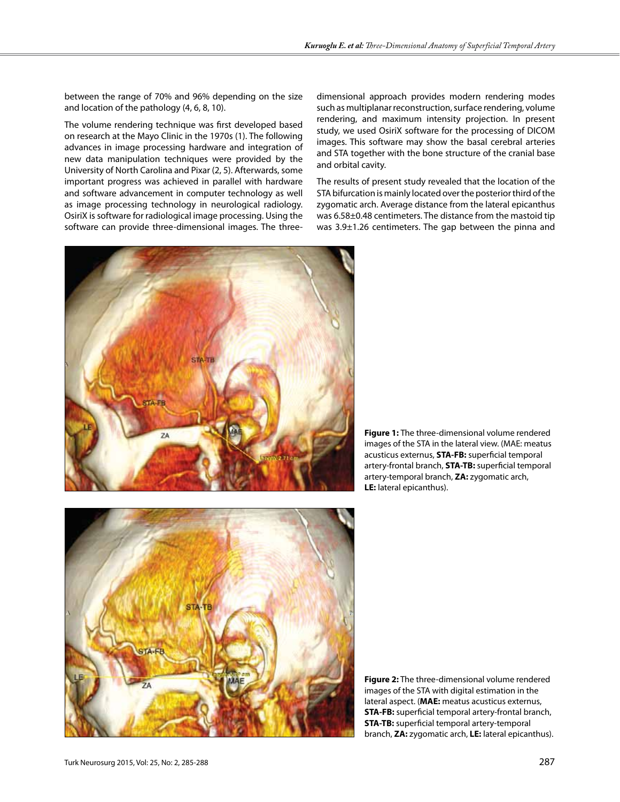between the range of 70% and 96% depending on the size and location of the pathology (4, 6, 8, 10).

The volume rendering technique was first developed based on research at the Mayo Clinic in the 1970s (1). The following advances in image processing hardware and integration of new data manipulation techniques were provided by the University of North Carolina and Pixar (2, 5). Afterwards, some important progress was achieved in parallel with hardware and software advancement in computer technology as well as image processing technology in neurological radiology. OsiriX is software for radiological image processing. Using the software can provide three-dimensional images. The three-

dimensional approach provides modern rendering modes such as multiplanar reconstruction, surface rendering, volume rendering, and maximum intensity projection. In present study, we used OsiriX software for the processing of DICOM images. This software may show the basal cerebral arteries and STA together with the bone structure of the cranial base and orbital cavity.

The results of present study revealed that the location of the STA bifurcation is mainly located over the posterior third of the zygomatic arch. Average distance from the lateral epicanthus was 6.58±0.48 centimeters. The distance from the mastoid tip was 3.9±1.26 centimeters. The gap between the pinna and



**Figure 1:** The three-dimensional volume rendered images of the STA in the lateral view. (MAE: meatus acusticus externus, **STA-FB:** superficial temporal artery-frontal branch, **STA-TB:** superficial temporal artery-temporal branch, **ZA:** zygomatic arch, **LE:** lateral epicanthus).



**Figure 2:** The three-dimensional volume rendered images of the STA with digital estimation in the lateral aspect. (**MAE:** meatus acusticus externus, **STA-FB:** superficial temporal artery-frontal branch, **STA-TB:** superficial temporal artery-temporal branch, **ZA:** zygomatic arch, **LE:** lateral epicanthus).